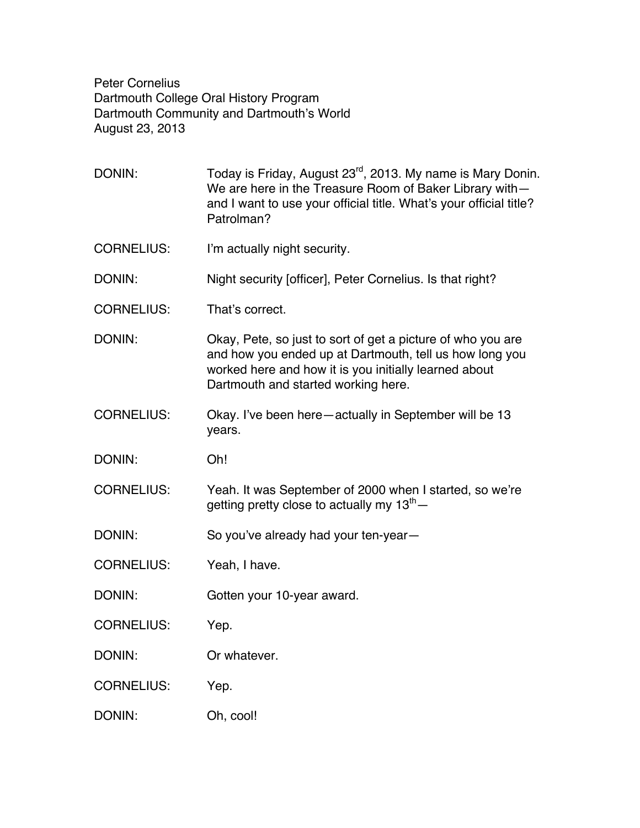Peter Cornelius Dartmouth College Oral History Program Dartmouth Community and Dartmouth's World August 23, 2013

DONIN: Today is Friday, August 23<sup>rd</sup>, 2013. My name is Mary Donin. We are here in the Treasure Room of Baker Library with and I want to use your official title. What's your official title? Patrolman? CORNELIUS: I'm actually night security. DONIN: Night security [officer], Peter Cornelius. Is that right? CORNELIUS: That's correct. DONIN: Okay, Pete, so just to sort of get a picture of who you are and how you ended up at Dartmouth, tell us how long you worked here and how it is you initially learned about Dartmouth and started working here. CORNELIUS: Okay. I've been here—actually in September will be 13 years. DONIN: Oh! CORNELIUS: Yeah. It was September of 2000 when I started, so we're getting pretty close to actually my  $13<sup>th</sup>$  -DONIN: So you've already had your ten-year-CORNELIUS: Yeah, I have. DONIN: Gotten your 10-year award. CORNELIUS: Yep. DONIN: Or whatever. CORNELIUS: Yep. DONIN: Oh, cool!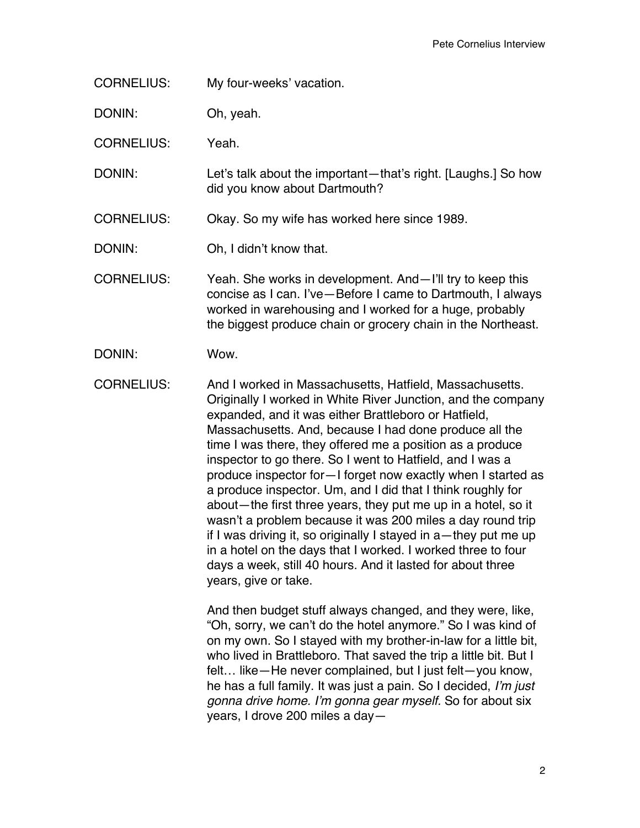CORNELIUS: My four-weeks' vacation.

DONIN: Oh, yeah.

CORNELIUS: Yeah.

DONIN: Let's talk about the important—that's right. [Laughs.] So how did you know about Dartmouth?

CORNELIUS: Okay. So my wife has worked here since 1989.

DONIN: Oh, I didn't know that.

CORNELIUS: Yeah. She works in development. And—I'll try to keep this concise as I can. I've—Before I came to Dartmouth, I always worked in warehousing and I worked for a huge, probably the biggest produce chain or grocery chain in the Northeast.

DONIN: Wow.

CORNELIUS: And I worked in Massachusetts, Hatfield, Massachusetts. Originally I worked in White River Junction, and the company expanded, and it was either Brattleboro or Hatfield, Massachusetts. And, because I had done produce all the time I was there, they offered me a position as a produce inspector to go there. So I went to Hatfield, and I was a produce inspector for—I forget now exactly when I started as a produce inspector. Um, and I did that I think roughly for about—the first three years, they put me up in a hotel, so it wasn't a problem because it was 200 miles a day round trip if I was driving it, so originally I stayed in a—they put me up in a hotel on the days that I worked. I worked three to four days a week, still 40 hours. And it lasted for about three years, give or take.

> And then budget stuff always changed, and they were, like, "Oh, sorry, we can't do the hotel anymore." So I was kind of on my own. So I stayed with my brother-in-law for a little bit, who lived in Brattleboro. That saved the trip a little bit. But I felt… like—He never complained, but I just felt—you know, he has a full family. It was just a pain. So I decided, *I'm just gonna drive home. I'm gonna gear myself.* So for about six years, I drove 200 miles a day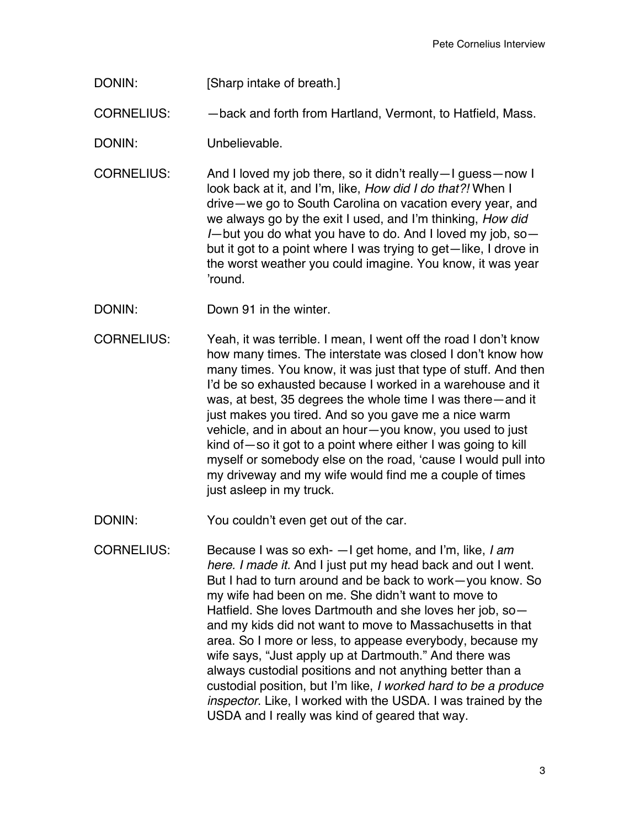DONIN: [Sharp intake of breath.]

CORNELIUS: —back and forth from Hartland, Vermont, to Hatfield, Mass.

DONIN: Unbelievable.

CORNELIUS: And I loved my job there, so it didn't really—I guess—now I look back at it, and I'm, like, *How did I do that?!* When I drive—we go to South Carolina on vacation every year, and we always go by the exit I used, and I'm thinking, *How did I*—but you do what you have to do. And I loved my job, so but it got to a point where I was trying to get—like, I drove in the worst weather you could imagine. You know, it was year 'round.

- DONIN: Down 91 in the winter.
- CORNELIUS: Yeah, it was terrible. I mean, I went off the road I don't know how many times. The interstate was closed I don't know how many times. You know, it was just that type of stuff. And then I'd be so exhausted because I worked in a warehouse and it was, at best, 35 degrees the whole time I was there—and it just makes you tired. And so you gave me a nice warm vehicle, and in about an hour—you know, you used to just kind of—so it got to a point where either I was going to kill myself or somebody else on the road, 'cause I would pull into my driveway and my wife would find me a couple of times just asleep in my truck.

DONIN: You couldn't even get out of the car.

CORNELIUS: Because I was so exh- —I get home, and I'm, like, *I am here. I made it.* And I just put my head back and out I went. But I had to turn around and be back to work—you know. So my wife had been on me. She didn't want to move to Hatfield. She loves Dartmouth and she loves her job, so and my kids did not want to move to Massachusetts in that area. So I more or less, to appease everybody, because my wife says, "Just apply up at Dartmouth." And there was always custodial positions and not anything better than a custodial position, but I'm like, *I worked hard to be a produce inspector*. Like, I worked with the USDA. I was trained by the USDA and I really was kind of geared that way.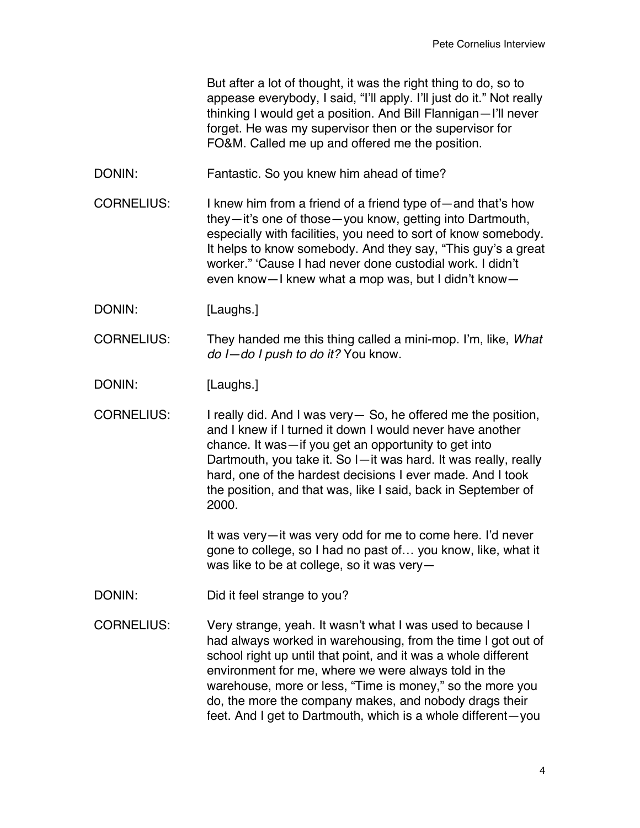But after a lot of thought, it was the right thing to do, so to appease everybody, I said, "I'll apply. I'll just do it." Not really thinking I would get a position. And Bill Flannigan—I'll never forget. He was my supervisor then or the supervisor for FO&M. Called me up and offered me the position.

DONIN: Fantastic. So you knew him ahead of time?

CORNELIUS: I knew him from a friend of a friend type of—and that's how they—it's one of those—you know, getting into Dartmouth, especially with facilities, you need to sort of know somebody. It helps to know somebody. And they say, "This guy's a great worker." 'Cause I had never done custodial work. I didn't even know—I knew what a mop was, but I didn't know—

DONIN: [Laughs.]

CORNELIUS: They handed me this thing called a mini-mop. I'm, like, *What do I—do I push to do it?* You know.

DONIN: [Laughs.]

CORNELIUS: I really did. And I was very— So, he offered me the position, and I knew if I turned it down I would never have another chance. It was—if you get an opportunity to get into Dartmouth, you take it. So I—it was hard. It was really, really hard, one of the hardest decisions I ever made. And I took the position, and that was, like I said, back in September of 2000.

> It was very—it was very odd for me to come here. I'd never gone to college, so I had no past of… you know, like, what it was like to be at college, so it was very—

DONIN: Did it feel strange to you?

CORNELIUS: Very strange, yeah. It wasn't what I was used to because I had always worked in warehousing, from the time I got out of school right up until that point, and it was a whole different environment for me, where we were always told in the warehouse, more or less, "Time is money," so the more you do, the more the company makes, and nobody drags their feet. And I get to Dartmouth, which is a whole different—you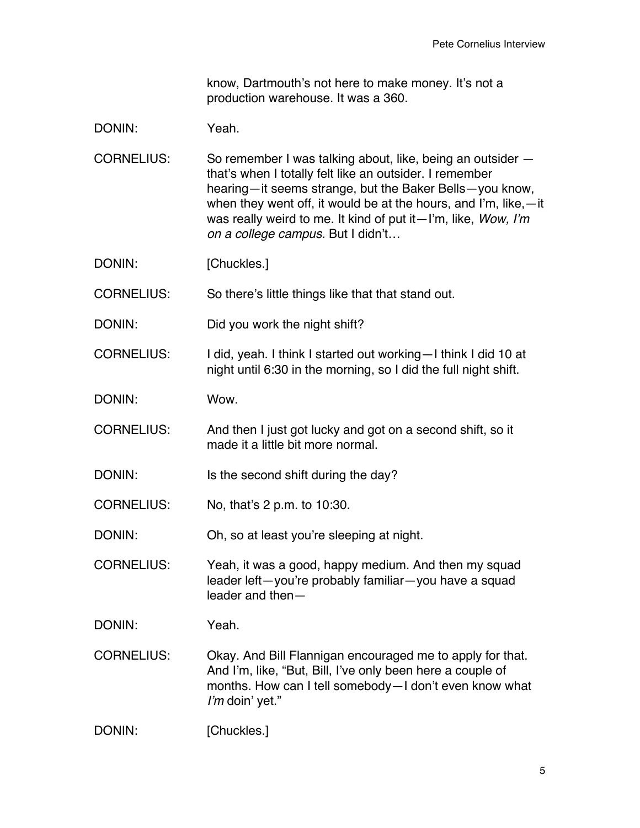know, Dartmouth's not here to make money. It's not a production warehouse. It was a 360.

## DONIN: Yeah.

CORNELIUS: So remember I was talking about, like, being an outsider that's when I totally felt like an outsider. I remember hearing—it seems strange, but the Baker Bells—you know, when they went off, it would be at the hours, and I'm, like,—it was really weird to me. It kind of put it—I'm, like, *Wow, I'm on a college campus.* But I didn't…

DONIN: [Chuckles.]

CORNELIUS: So there's little things like that that stand out.

DONIN: Did you work the night shift?

CORNELIUS: I did, yeah. I think I started out working—I think I did 10 at night until 6:30 in the morning, so I did the full night shift.

DONIN: Wow.

CORNELIUS: And then I just got lucky and got on a second shift, so it made it a little bit more normal.

DONIN: Is the second shift during the day?

CORNELIUS: No, that's 2 p.m. to 10:30.

DONIN: Oh, so at least you're sleeping at night.

CORNELIUS: Yeah, it was a good, happy medium. And then my squad leader left—you're probably familiar—you have a squad leader and then—

DONIN: Yeah.

CORNELIUS: Okay. And Bill Flannigan encouraged me to apply for that. And I'm, like, "But, Bill, I've only been here a couple of months. How can I tell somebody—I don't even know what *I'm* doin' yet."

DONIN: [Chuckles.]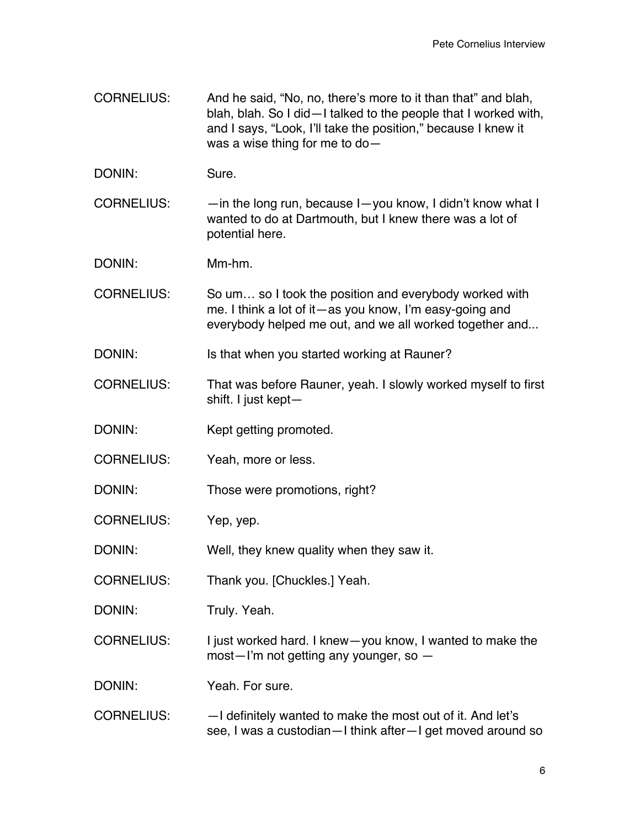- CORNELIUS: And he said, "No, no, there's more to it than that" and blah, blah, blah. So I did—I talked to the people that I worked with, and I says, "Look, I'll take the position," because I knew it was a wise thing for me to do—
- DONIN: Sure.
- CORNELIUS: —in the long run, because I—you know, I didn't know what I wanted to do at Dartmouth, but I knew there was a lot of potential here.
- DONIN: Mm-hm.
- CORNELIUS: So um… so I took the position and everybody worked with me. I think a lot of it—as you know, I'm easy-going and everybody helped me out, and we all worked together and...
- DONIN: Is that when you started working at Rauner?
- CORNELIUS: That was before Rauner, yeah. I slowly worked myself to first shift. I just kept—
- DONIN: Kept getting promoted.
- CORNELIUS: Yeah, more or less.
- DONIN: Those were promotions, right?
- CORNELIUS: Yep, yep.
- DONIN: Well, they knew quality when they saw it.
- CORNELIUS: Thank you. [Chuckles.] Yeah.
- DONIN: Truly. Yeah.
- CORNELIUS: I just worked hard. I knew—you know, I wanted to make the most—I'm not getting any younger, so —

DONIN: Yeah. For sure.

CORNELIUS: —I definitely wanted to make the most out of it. And let's see, I was a custodian—I think after—I get moved around so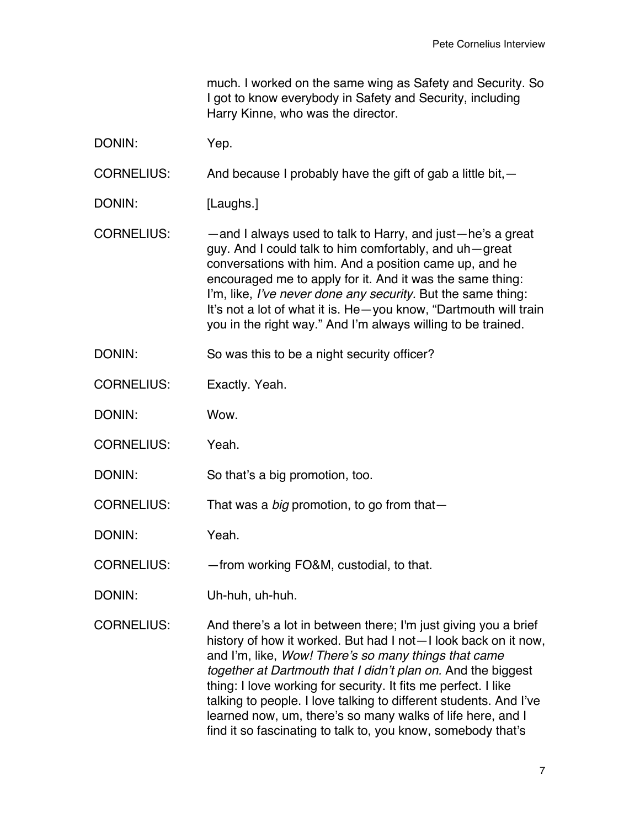much. I worked on the same wing as Safety and Security. So I got to know everybody in Safety and Security, including Harry Kinne, who was the director.

DONIN: Yep.

CORNELIUS: And because I probably have the gift of gab a little bit,  $-$ 

DONIN: [Laughs.]

CORNELIUS: —and I always used to talk to Harry, and just—he's a great guy. And I could talk to him comfortably, and uh—great conversations with him. And a position came up, and he encouraged me to apply for it. And it was the same thing: I'm, like, *I've never done any security.* But the same thing: It's not a lot of what it is. He—you know, "Dartmouth will train you in the right way." And I'm always willing to be trained.

DONIN: So was this to be a night security officer?

CORNELIUS: Exactly. Yeah.

DONIN: Wow.

CORNELIUS: Yeah.

DONIN: So that's a big promotion, too.

CORNELIUS: That was a *big* promotion, to go from that—

DONIN: Yeah.

CORNELIUS: — from working FO&M, custodial, to that.

DONIN: Uh-huh, uh-huh.

CORNELIUS: And there's a lot in between there; I'm just giving you a brief history of how it worked. But had I not—I look back on it now, and I'm, like, *Wow! There's so many things that came together at Dartmouth that I didn't plan on.* And the biggest thing: I love working for security. It fits me perfect. I like talking to people. I love talking to different students. And I've learned now, um, there's so many walks of life here, and I find it so fascinating to talk to, you know, somebody that's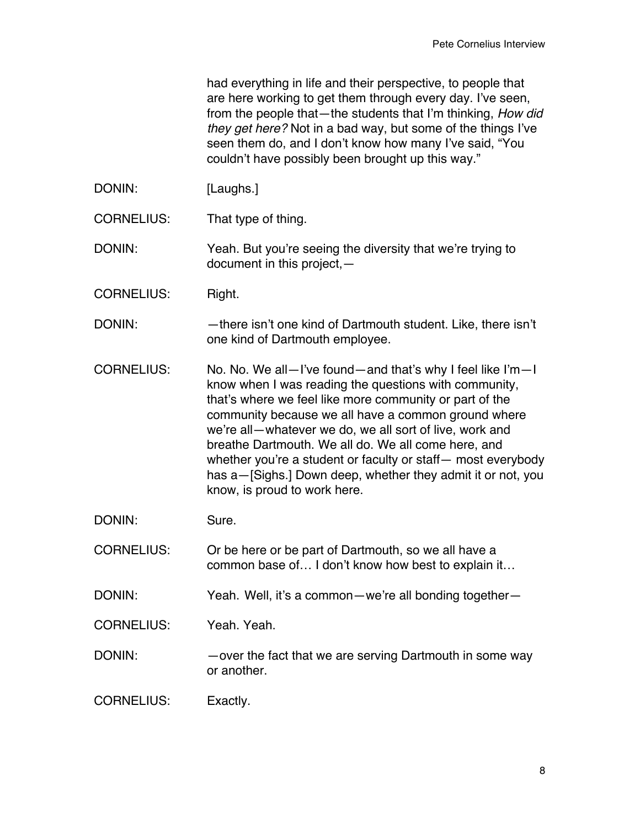had everything in life and their perspective, to people that are here working to get them through every day. I've seen, from the people that—the students that I'm thinking, *How did they get here?* Not in a bad way, but some of the things I've seen them do, and I don't know how many I've said, "You couldn't have possibly been brought up this way."

- DONIN: [Laughs.]
- CORNELIUS: That type of thing.

DONIN: Yeah. But you're seeing the diversity that we're trying to document in this project,—

- CORNELIUS: Right.
- DONIN: —there isn't one kind of Dartmouth student. Like, there isn't one kind of Dartmouth employee.
- CORNELIUS: No. No. We all—I've found—and that's why I feel like I'm—I know when I was reading the questions with community, that's where we feel like more community or part of the community because we all have a common ground where we're all—whatever we do, we all sort of live, work and breathe Dartmouth. We all do. We all come here, and whether you're a student or faculty or staff— most everybody has a—[Sighs.] Down deep, whether they admit it or not, you know, is proud to work here.
- DONIN: Sure.
- CORNELIUS: Or be here or be part of Dartmouth, so we all have a common base of… I don't know how best to explain it…
- DONIN: Yeah. Well, it's a common-we're all bonding together-
- CORNELIUS: Yeah. Yeah.
- DONIN: — over the fact that we are serving Dartmouth in some way or another.
- CORNELIUS: Exactly.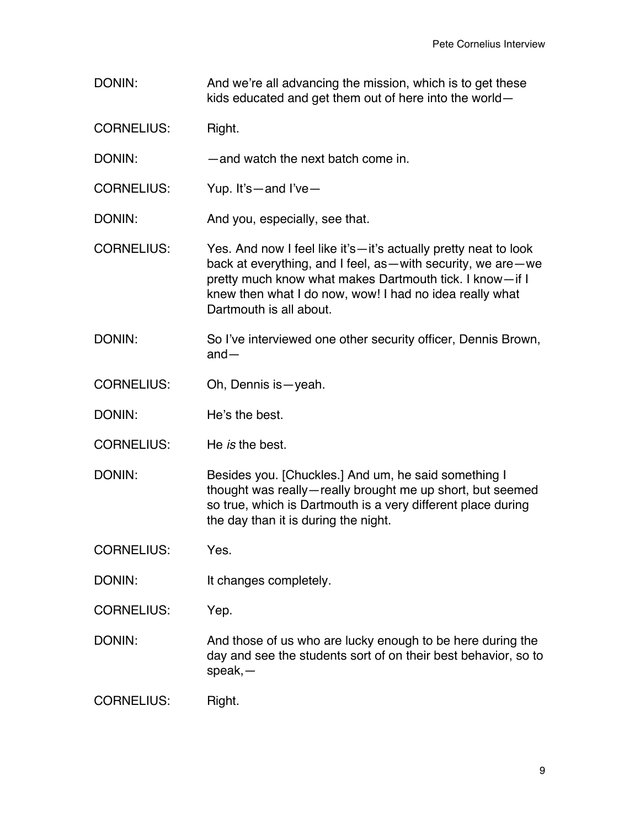DONIN: And we're all advancing the mission, which is to get these kids educated and get them out of here into the world—

CORNELIUS: Right.

- DONIN: — and watch the next batch come in.
- CORNELIUS: Yup. It's—and I've—

DONIN: And you, especially, see that.

- CORNELIUS: Yes. And now I feel like it's—it's actually pretty neat to look back at everything, and I feel, as—with security, we are—we pretty much know what makes Dartmouth tick. I know—if I knew then what I do now, wow! I had no idea really what Dartmouth is all about.
- DONIN: So I've interviewed one other security officer, Dennis Brown, and—
- CORNELIUS: Oh, Dennis is—yeah.
- DONIN: He's the best.
- CORNELIUS: He *is* the best.

DONIN: Besides you. [Chuckles.] And um, he said something I thought was really—really brought me up short, but seemed so true, which is Dartmouth is a very different place during the day than it is during the night.

CORNELIUS: Yes.

DONIN: It changes completely.

CORNELIUS: Yep.

DONIN: And those of us who are lucky enough to be here during the day and see the students sort of on their best behavior, so to speak,—

CORNELIUS: Right.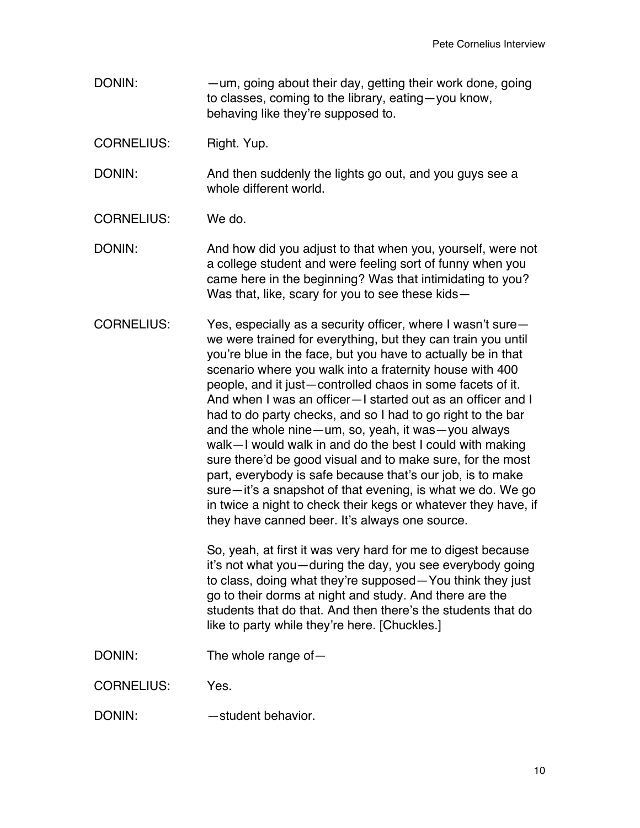DONIN: —um, going about their day, getting their work done, going to classes, coming to the library, eating—you know, behaving like they're supposed to.

CORNELIUS: Right. Yup.

DONIN: And then suddenly the lights go out, and you guys see a whole different world.

CORNELIUS: We do.

DONIN: And how did you adjust to that when you, yourself, were not a college student and were feeling sort of funny when you came here in the beginning? Was that intimidating to you? Was that, like, scary for you to see these kids—

CORNELIUS: Yes, especially as a security officer, where I wasn't sure we were trained for everything, but they can train you until you're blue in the face, but you have to actually be in that scenario where you walk into a fraternity house with 400 people, and it just—controlled chaos in some facets of it. And when I was an officer—I started out as an officer and I had to do party checks, and so I had to go right to the bar and the whole nine—um, so, yeah, it was—you always walk—I would walk in and do the best I could with making sure there'd be good visual and to make sure, for the most part, everybody is safe because that's our job, is to make sure—it's a snapshot of that evening, is what we do. We go in twice a night to check their kegs or whatever they have, if they have canned beer. It's always one source.

> So, yeah, at first it was very hard for me to digest because it's not what you—during the day, you see everybody going to class, doing what they're supposed—You think they just go to their dorms at night and study. And there are the students that do that. And then there's the students that do like to party while they're here. [Chuckles.]

DONIN: The whole range of —

CORNELIUS: Yes.

DONIN: — — Student behavior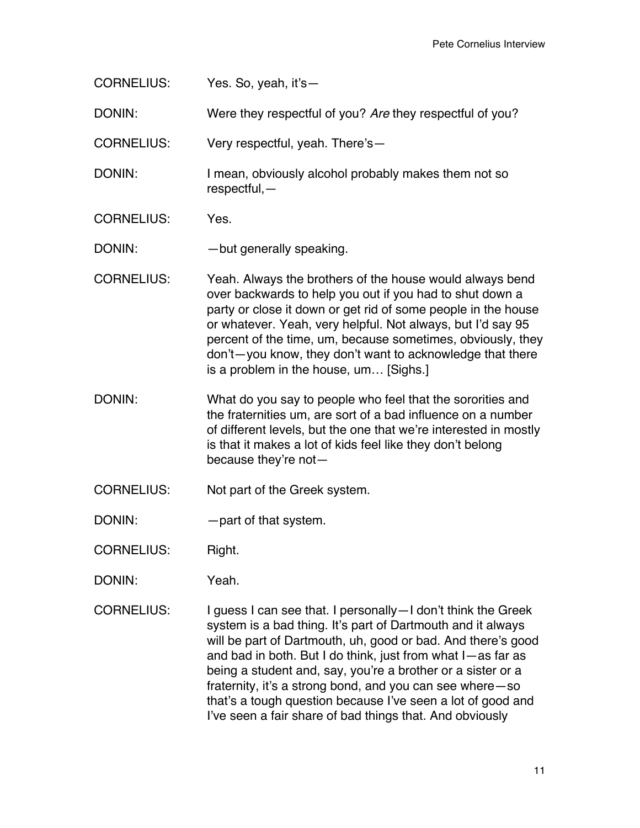CORNELIUS: Yes. So, yeah, it's—

DONIN: Were they respectful of you? *Are* they respectful of you?

CORNELIUS: Very respectful, yeah. There's—

DONIN: I mean, obviously alcohol probably makes them not so respectful,—

CORNELIUS: Yes.

DONIN: — but generally speaking.

- CORNELIUS: Yeah. Always the brothers of the house would always bend over backwards to help you out if you had to shut down a party or close it down or get rid of some people in the house or whatever. Yeah, very helpful. Not always, but I'd say 95 percent of the time, um, because sometimes, obviously, they don't—you know, they don't want to acknowledge that there is a problem in the house, um… [Sighs.]
- DONIN: What do you say to people who feel that the sororities and the fraternities um, are sort of a bad influence on a number of different levels, but the one that we're interested in mostly is that it makes a lot of kids feel like they don't belong because they're not—
- CORNELIUS: Not part of the Greek system.
- DONIN: — part of that system.
- CORNELIUS: Right.
- DONIN: Yeah.
- CORNELIUS: I guess I can see that. I personally—I don't think the Greek system is a bad thing. It's part of Dartmouth and it always will be part of Dartmouth, uh, good or bad. And there's good and bad in both. But I do think, just from what I—as far as being a student and, say, you're a brother or a sister or a fraternity, it's a strong bond, and you can see where—so that's a tough question because I've seen a lot of good and I've seen a fair share of bad things that. And obviously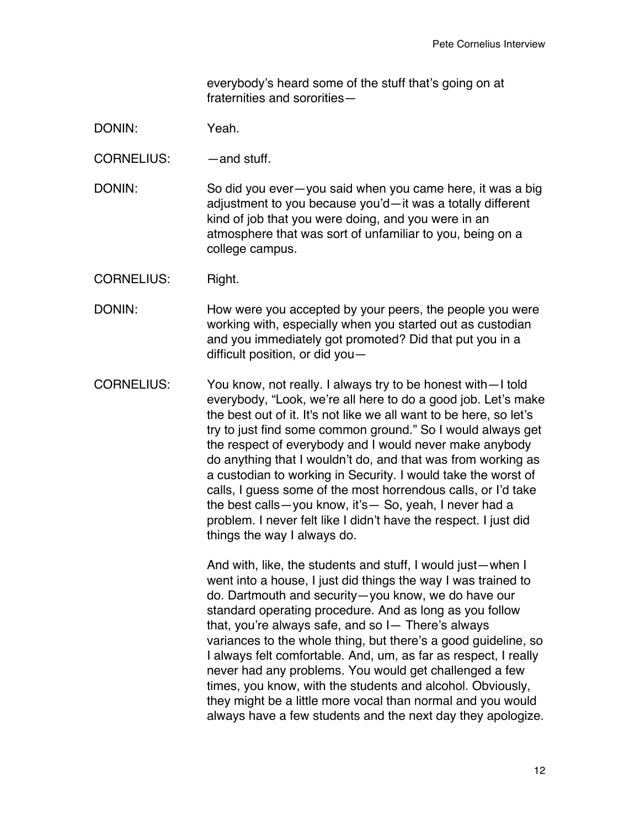everybody's heard some of the stuff that's going on at fraternities and sororities—

## DONIN: Yeah.

CORNELIUS: —and stuff.

DONIN: So did you ever—you said when you came here, it was a big adjustment to you because you'd—it was a totally different kind of job that you were doing, and you were in an atmosphere that was sort of unfamiliar to you, being on a college campus.

CORNELIUS: Right.

- DONIN: How were you accepted by your peers, the people you were working with, especially when you started out as custodian and you immediately got promoted? Did that put you in a difficult position, or did you—
- CORNELIUS: You know, not really. I always try to be honest with—I told everybody, "Look, we're all here to do a good job. Let's make the best out of it. It's not like we all want to be here, so let's try to just find some common ground." So I would always get the respect of everybody and I would never make anybody do anything that I wouldn't do, and that was from working as a custodian to working in Security. I would take the worst of calls, I guess some of the most horrendous calls, or I'd take the best calls—you know, it's— So, yeah, I never had a problem. I never felt like I didn't have the respect. I just did things the way I always do.

And with, like, the students and stuff, I would just—when I went into a house, I just did things the way I was trained to do. Dartmouth and security—you know, we do have our standard operating procedure. And as long as you follow that, you're always safe, and so I— There's always variances to the whole thing, but there's a good guideline, so I always felt comfortable. And, um, as far as respect, I really never had any problems. You would get challenged a few times, you know, with the students and alcohol. Obviously, they might be a little more vocal than normal and you would always have a few students and the next day they apologize.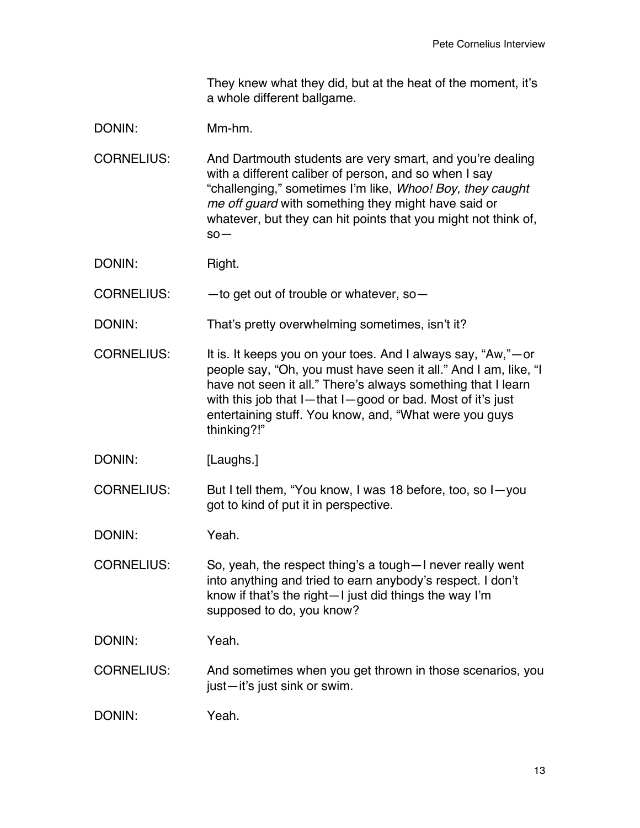They knew what they did, but at the heat of the moment, it's a whole different ballgame.

DONIN: Mm-hm.

CORNELIUS: And Dartmouth students are very smart, and you're dealing with a different caliber of person, and so when I say "challenging," sometimes I'm like, *Whoo! Boy, they caught me off guard* with something they might have said or whatever, but they can hit points that you might not think of, so—

DONIN: Right.

 $CORNELIUS:$   $-$  to get out of trouble or whatever, so-

- DONIN: That's pretty overwhelming sometimes, isn't it?
- CORNELIUS: It is. It keeps you on your toes. And I always say, "Aw,"—or people say, "Oh, you must have seen it all." And I am, like, "I have not seen it all." There's always something that I learn with this job that I—that I—good or bad. Most of it's just entertaining stuff. You know, and, "What were you guys thinking?!"

DONIN: [Laughs.]

CORNELIUS: But I tell them, "You know, I was 18 before, too, so I—you got to kind of put it in perspective.

DONIN: Yeah.

CORNELIUS: So, yeah, the respect thing's a tough—I never really went into anything and tried to earn anybody's respect. I don't know if that's the right—I just did things the way I'm supposed to do, you know?

DONIN: Yeah.

CORNELIUS: And sometimes when you get thrown in those scenarios, you just—it's just sink or swim.

DONIN: Yeah.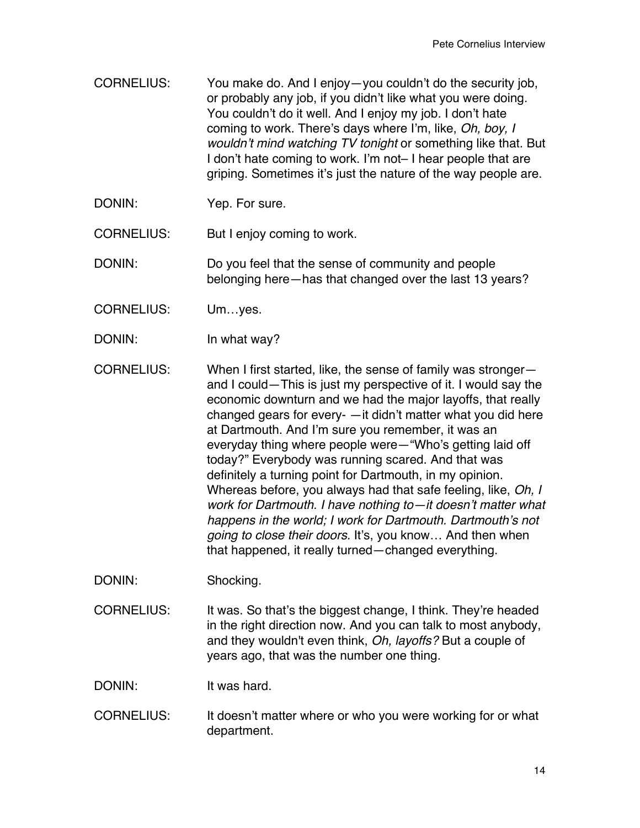CORNELIUS: You make do. And I enjoy—you couldn't do the security job, or probably any job, if you didn't like what you were doing. You couldn't do it well. And I enjoy my job. I don't hate coming to work. There's days where I'm, like, *Oh, boy, I wouldn't mind watching TV tonight* or something like that. But I don't hate coming to work. I'm not– I hear people that are griping. Sometimes it's just the nature of the way people are.

DONIN: Yep. For sure.

CORNELIUS: But I enjoy coming to work.

DONIN: Do you feel that the sense of community and people belonging here—has that changed over the last 13 years?

CORNELIUS: Um…yes.

DONIN: In what way?

CORNELIUS: When I first started, like, the sense of family was stronger and I could—This is just my perspective of it. I would say the economic downturn and we had the major layoffs, that really changed gears for every- —it didn't matter what you did here at Dartmouth. And I'm sure you remember, it was an everyday thing where people were—"Who's getting laid off today?" Everybody was running scared. And that was definitely a turning point for Dartmouth, in my opinion. Whereas before, you always had that safe feeling, like, *Oh, I work for Dartmouth. I have nothing to—it doesn't matter what happens in the world; I work for Dartmouth. Dartmouth's not going to close their doors.* It's, you know… And then when that happened, it really turned—changed everything.

DONIN: Shocking.

CORNELIUS: It was. So that's the biggest change, I think. They're headed in the right direction now. And you can talk to most anybody, and they wouldn't even think, *Oh, layoffs?* But a couple of years ago, that was the number one thing.

DONIN: It was hard.

CORNELIUS: It doesn't matter where or who you were working for or what department.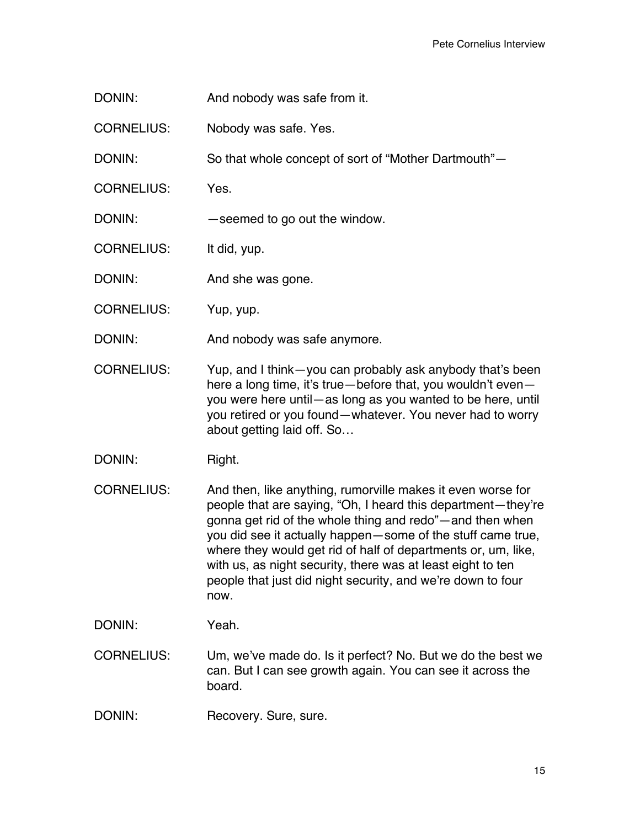- DONIN: And nobody was safe from it.
- CORNELIUS: Nobody was safe. Yes.

DONIN: So that whole concept of sort of "Mother Dartmouth"—

CORNELIUS: Yes.

DONIN: — seemed to go out the window.

CORNELIUS: It did, yup.

DONIN: And she was gone.

CORNELIUS: Yup, yup.

DONIN: And nobody was safe anymore.

CORNELIUS: Yup, and I think—you can probably ask anybody that's been here a long time, it's true—before that, you wouldn't even you were here until—as long as you wanted to be here, until you retired or you found—whatever. You never had to worry about getting laid off. So…

DONIN: Right.

- CORNELIUS: And then, like anything, rumorville makes it even worse for people that are saying, "Oh, I heard this department—they're gonna get rid of the whole thing and redo"—and then when you did see it actually happen—some of the stuff came true, where they would get rid of half of departments or, um, like, with us, as night security, there was at least eight to ten people that just did night security, and we're down to four now.
- DONIN: Yeah.
- CORNELIUS: Um, we've made do. Is it perfect? No. But we do the best we can. But I can see growth again. You can see it across the board.
- DONIN: Recovery. Sure, sure.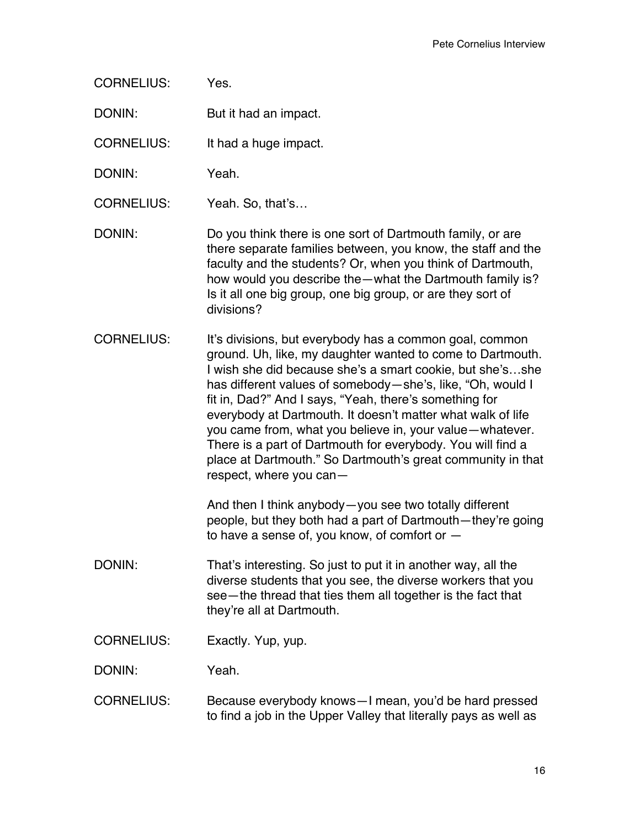CORNELIUS: Yes.

DONIN: But it had an impact.

CORNELIUS: It had a huge impact.

DONIN: Yeah.

CORNELIUS: Yeah. So, that's…

DONIN: Do you think there is one sort of Dartmouth family, or are there separate families between, you know, the staff and the faculty and the students? Or, when you think of Dartmouth, how would you describe the—what the Dartmouth family is? Is it all one big group, one big group, or are they sort of divisions?

CORNELIUS: It's divisions, but everybody has a common goal, common ground. Uh, like, my daughter wanted to come to Dartmouth. I wish she did because she's a smart cookie, but she's…she has different values of somebody—she's, like, "Oh, would I fit in, Dad?" And I says, "Yeah, there's something for everybody at Dartmouth. It doesn't matter what walk of life you came from, what you believe in, your value—whatever. There is a part of Dartmouth for everybody. You will find a place at Dartmouth." So Dartmouth's great community in that respect, where you can—

> And then I think anybody—you see two totally different people, but they both had a part of Dartmouth—they're going to have a sense of, you know, of comfort or  $-$

- DONIN: That's interesting. So just to put it in another way, all the diverse students that you see, the diverse workers that you see—the thread that ties them all together is the fact that they're all at Dartmouth.
- CORNELIUS: Exactly. Yup, yup.

DONIN: Yeah.

CORNELIUS: Because everybody knows—I mean, you'd be hard pressed to find a job in the Upper Valley that literally pays as well as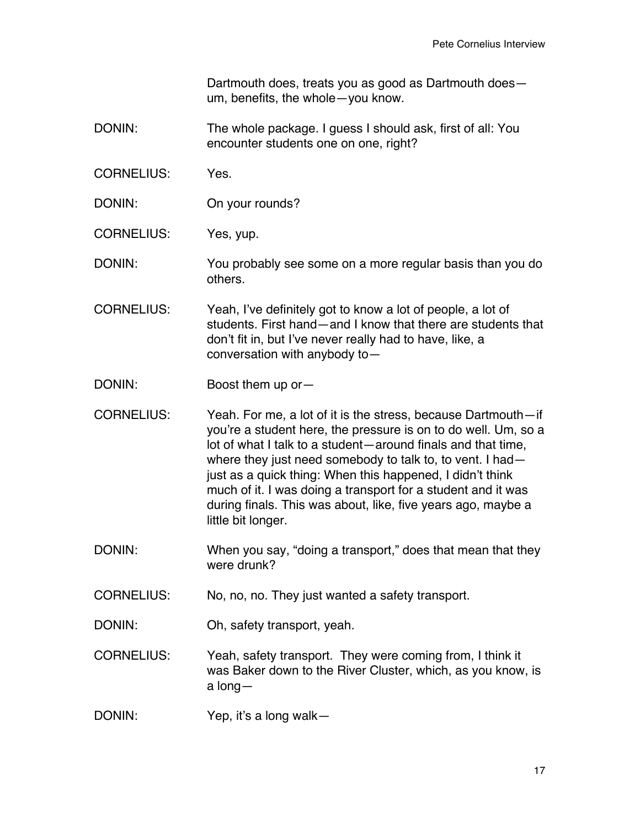Dartmouth does, treats you as good as Dartmouth does um, benefits, the whole—you know.

- DONIN: The whole package. I guess I should ask, first of all: You encounter students one on one, right?
- CORNELIUS: Yes.
- DONIN: On your rounds?

CORNELIUS: Yes, yup.

DONIN: You probably see some on a more regular basis than you do others.

- CORNELIUS: Yeah, I've definitely got to know a lot of people, a lot of students. First hand—and I know that there are students that don't fit in, but I've never really had to have, like, a conversation with anybody to—
- DONIN: Boost them up or-
- CORNELIUS: Yeah. For me, a lot of it is the stress, because Dartmouth—if you're a student here, the pressure is on to do well. Um, so a lot of what I talk to a student—around finals and that time, where they just need somebody to talk to, to vent. I had just as a quick thing: When this happened, I didn't think much of it. I was doing a transport for a student and it was during finals. This was about, like, five years ago, maybe a little bit longer.
- DONIN: When you say, "doing a transport," does that mean that they were drunk?
- CORNELIUS: No, no, no. They just wanted a safety transport.
- DONIN: Oh, safety transport, yeah.
- CORNELIUS: Yeah, safety transport. They were coming from, I think it was Baker down to the River Cluster, which, as you know, is a long—
- DONIN: Yep, it's a long walk-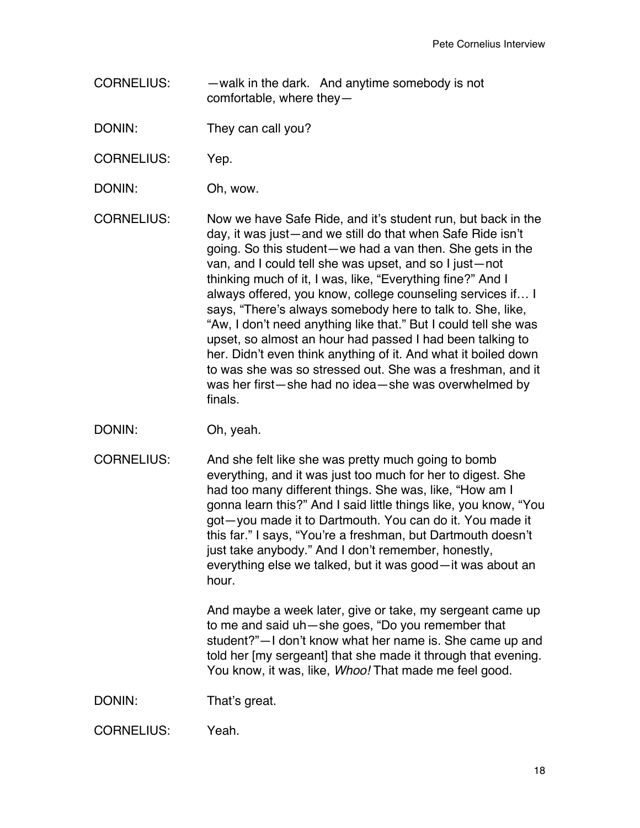CORNELIUS: —walk in the dark. And anytime somebody is not comfortable, where they—

DONIN: They can call you?

CORNELIUS: Yep.

DONIN: Oh, wow.

CORNELIUS: Now we have Safe Ride, and it's student run, but back in the day, it was just—and we still do that when Safe Ride isn't going. So this student—we had a van then. She gets in the van, and I could tell she was upset, and so I just—not thinking much of it, I was, like, "Everything fine?" And I always offered, you know, college counseling services if… I says, "There's always somebody here to talk to. She, like, "Aw, I don't need anything like that." But I could tell she was upset, so almost an hour had passed I had been talking to her. Didn't even think anything of it. And what it boiled down to was she was so stressed out. She was a freshman, and it was her first—she had no idea—she was overwhelmed by finals.

- DONIN: Oh, yeah.
- CORNELIUS: And she felt like she was pretty much going to bomb everything, and it was just too much for her to digest. She had too many different things. She was, like, "How am I gonna learn this?" And I said little things like, you know, "You got—you made it to Dartmouth. You can do it. You made it this far." I says, "You're a freshman, but Dartmouth doesn't just take anybody." And I don't remember, honestly, everything else we talked, but it was good—it was about an hour.

And maybe a week later, give or take, my sergeant came up to me and said uh—she goes, "Do you remember that student?"—I don't know what her name is. She came up and told her [my sergeant] that she made it through that evening. You know, it was, like, *Whoo!* That made me feel good.

DONIN: That's great.

CORNELIUS: Yeah.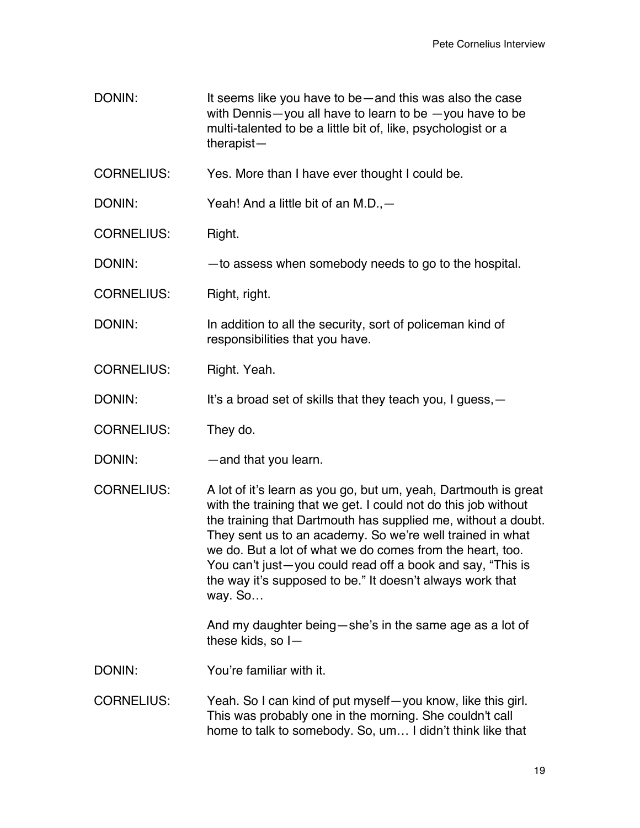DONIN: It seems like you have to be—and this was also the case with Dennis—you all have to learn to be —you have to be multi-talented to be a little bit of, like, psychologist or a therapist—

CORNELIUS: Yes. More than I have ever thought I could be.

DONIN: Yeah! And a little bit of an M.D.,—

CORNELIUS: Right.

DONIN: —to assess when somebody needs to go to the hospital.

CORNELIUS: Right, right.

DONIN: In addition to all the security, sort of policeman kind of responsibilities that you have.

CORNELIUS: Right. Yeah.

DONIN: It's a broad set of skills that they teach you, I guess, —

CORNELIUS: They do.

DONIN: — — and that you learn.

CORNELIUS: A lot of it's learn as you go, but um, yeah, Dartmouth is great with the training that we get. I could not do this job without the training that Dartmouth has supplied me, without a doubt. They sent us to an academy. So we're well trained in what we do. But a lot of what we do comes from the heart, too. You can't just—you could read off a book and say, "This is the way it's supposed to be." It doesn't always work that way. So…

> And my daughter being—she's in the same age as a lot of these kids, so I—

DONIN: You're familiar with it.

CORNELIUS: Yeah. So I can kind of put myself—you know, like this girl. This was probably one in the morning. She couldn't call home to talk to somebody. So, um… I didn't think like that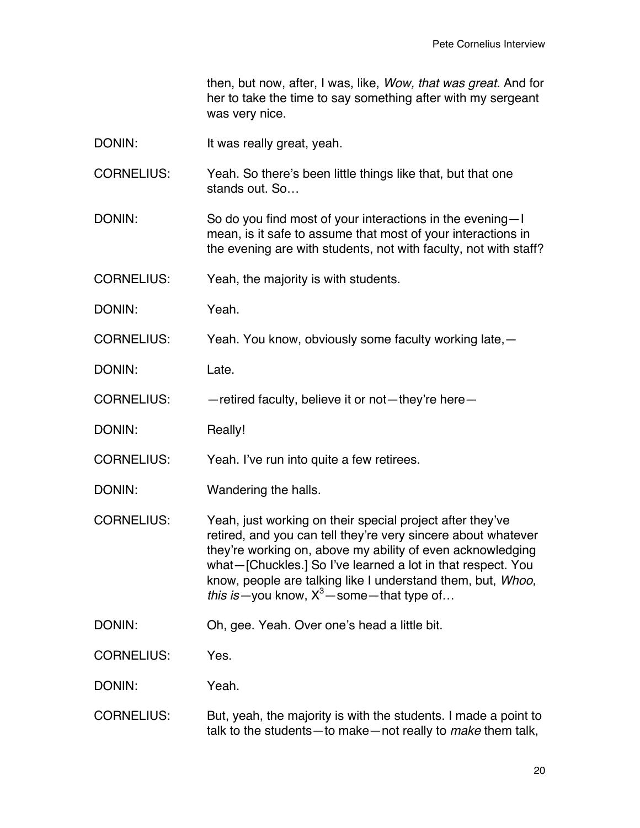then, but now, after, I was, like, *Wow, that was great.* And for her to take the time to say something after with my sergeant was very nice.

- DONIN: It was really great, yeah.
- CORNELIUS: Yeah. So there's been little things like that, but that one stands out. So…
- DONIN: So do you find most of your interactions in the evening—I mean, is it safe to assume that most of your interactions in the evening are with students, not with faculty, not with staff?
- CORNELIUS: Yeah, the majority is with students.
- DONIN: Yeah.
- CORNELIUS: Yeah. You know, obviously some faculty working late,—
- DONIN: Late.
- CORNELIUS: —retired faculty, believe it or not—they're here—
- DONIN: Really!
- CORNELIUS: Yeah. I've run into quite a few retirees.
- DONIN: Wandering the halls.
- CORNELIUS: Yeah, just working on their special project after they've retired, and you can tell they're very sincere about whatever they're working on, above my ability of even acknowledging what—[Chuckles.] So I've learned a lot in that respect. You know, people are talking like I understand them, but, *Whoo, this is*—you know,  $X^3$ —some—that type of...
- DONIN: Oh, gee. Yeah. Over one's head a little bit.
- CORNELIUS: Yes.
- DONIN: Yeah.
- CORNELIUS: But, yeah, the majority is with the students. I made a point to talk to the students—to make—not really to *make* them talk,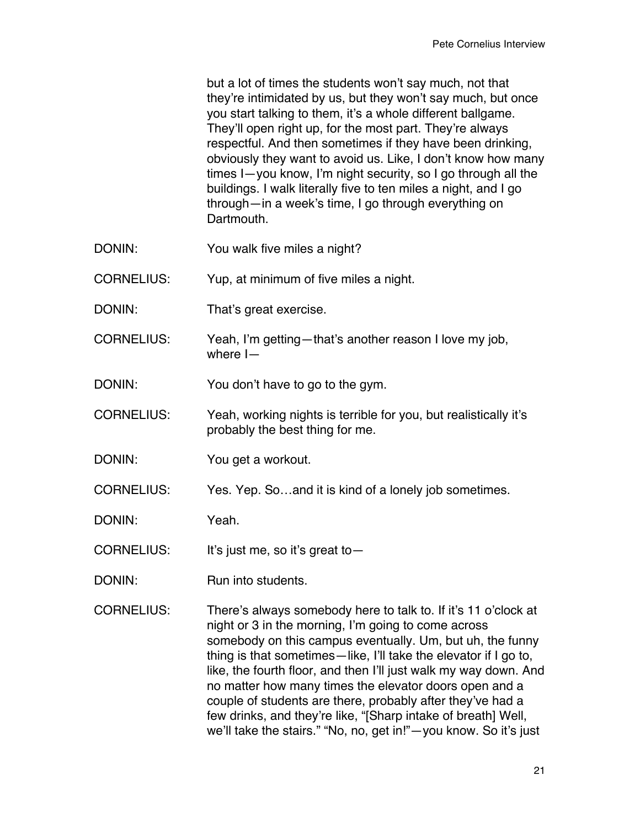but a lot of times the students won't say much, not that they're intimidated by us, but they won't say much, but once you start talking to them, it's a whole different ballgame. They'll open right up, for the most part. They're always respectful. And then sometimes if they have been drinking, obviously they want to avoid us. Like, I don't know how many times I—you know, I'm night security, so I go through all the buildings. I walk literally five to ten miles a night, and I go through—in a week's time, I go through everything on **Dartmouth** 

- DONIN: You walk five miles a night?
- CORNELIUS: Yup, at minimum of five miles a night.
- DONIN: That's great exercise.
- CORNELIUS: Yeah, I'm getting—that's another reason I love my job, where I—
- DONIN: You don't have to go to the gym.
- CORNELIUS: Yeah, working nights is terrible for you, but realistically it's probably the best thing for me.
- DONIN: You get a workout.

CORNELIUS: Yes. Yep. So…and it is kind of a lonely job sometimes.

DONIN: Yeah.

- CORNELIUS: It's just me, so it's great to—
- DONIN: Run into students.
- CORNELIUS: There's always somebody here to talk to. If it's 11 o'clock at night or 3 in the morning, I'm going to come across somebody on this campus eventually. Um, but uh, the funny thing is that sometimes—like, I'll take the elevator if I go to, like, the fourth floor, and then I'll just walk my way down. And no matter how many times the elevator doors open and a couple of students are there, probably after they've had a few drinks, and they're like, "[Sharp intake of breath] Well, we'll take the stairs." "No, no, get in!"—you know. So it's just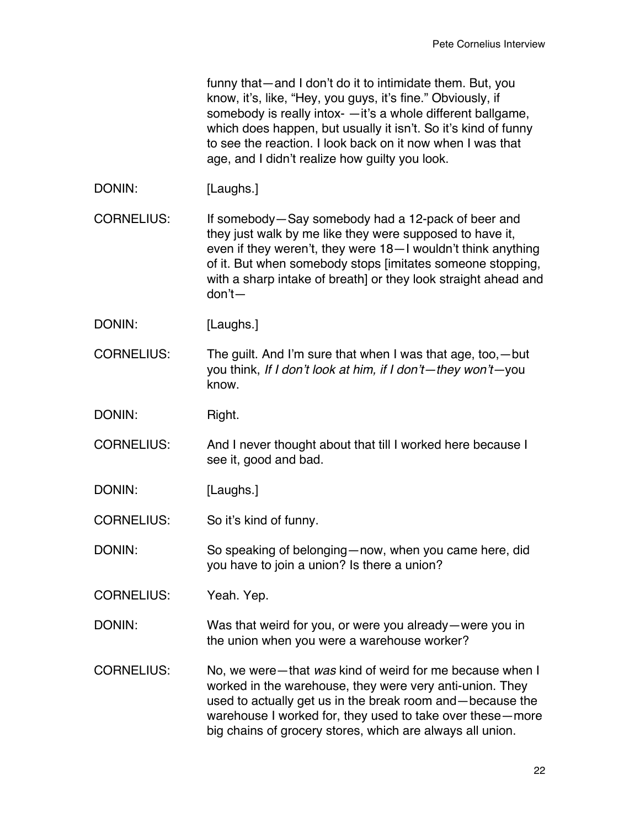funny that—and I don't do it to intimidate them. But, you know, it's, like, "Hey, you guys, it's fine." Obviously, if somebody is really intox- —it's a whole different ballgame, which does happen, but usually it isn't. So it's kind of funny to see the reaction. I look back on it now when I was that age, and I didn't realize how guilty you look.

DONIN: [Laughs.]

CORNELIUS: If somebody—Say somebody had a 12-pack of beer and they just walk by me like they were supposed to have it, even if they weren't, they were 18—I wouldn't think anything of it. But when somebody stops [imitates someone stopping, with a sharp intake of breath] or they look straight ahead and don't—

DONIN: [Laughs.]

CORNELIUS: The guilt. And I'm sure that when I was that age, too,—but you think, *If I don't look at him, if I don't—they won't—*you know.

DONIN: Right.

CORNELIUS: And I never thought about that till I worked here because I see it, good and bad.

DONIN: [Laughs.]

CORNELIUS: So it's kind of funny.

DONIN: So speaking of belonging—now, when you came here, did you have to join a union? Is there a union?

CORNELIUS: Yeah. Yep.

DONIN: Was that weird for you, or were you already—were you in the union when you were a warehouse worker?

CORNELIUS: No, we were—that *was* kind of weird for me because when I worked in the warehouse, they were very anti-union. They used to actually get us in the break room and—because the warehouse I worked for, they used to take over these—more big chains of grocery stores, which are always all union.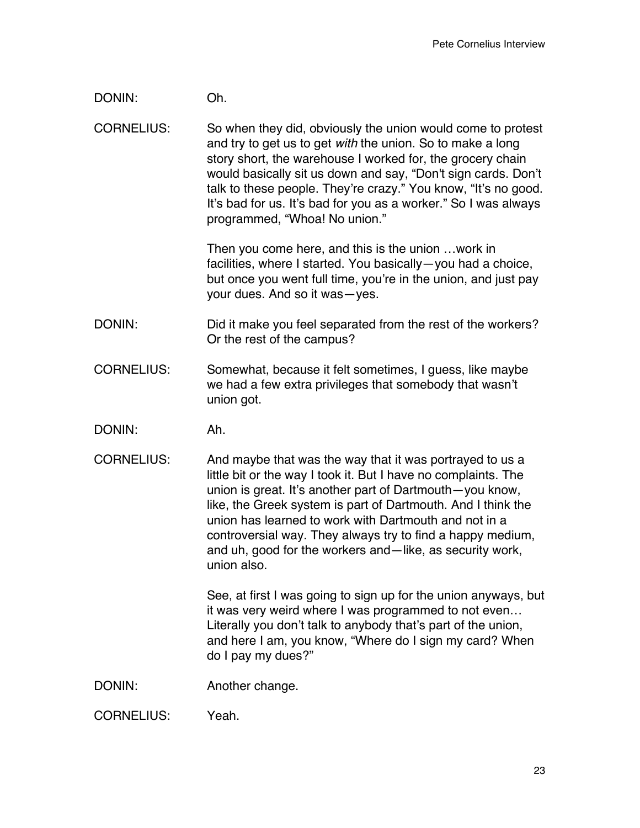DONIN: Oh.

CORNELIUS: So when they did, obviously the union would come to protest and try to get us to get *with* the union. So to make a long story short, the warehouse I worked for, the grocery chain would basically sit us down and say, "Don't sign cards. Don't talk to these people. They're crazy." You know, "It's no good. It's bad for us. It's bad for you as a worker." So I was always programmed, "Whoa! No union."

> Then you come here, and this is the union …work in facilities, where I started. You basically—you had a choice, but once you went full time, you're in the union, and just pay your dues. And so it was—yes.

- DONIN: DONIN: Did it make you feel separated from the rest of the workers? Or the rest of the campus?
- CORNELIUS: Somewhat, because it felt sometimes, I guess, like maybe we had a few extra privileges that somebody that wasn't union got.
- DONIN: Ah.
- CORNELIUS: And maybe that was the way that it was portrayed to us a little bit or the way I took it. But I have no complaints. The union is great. It's another part of Dartmouth—you know, like, the Greek system is part of Dartmouth. And I think the union has learned to work with Dartmouth and not in a controversial way. They always try to find a happy medium, and uh, good for the workers and—like, as security work, union also.

See, at first I was going to sign up for the union anyways, but it was very weird where I was programmed to not even… Literally you don't talk to anybody that's part of the union, and here I am, you know, "Where do I sign my card? When do I pay my dues?"

DONIN: Another change.

CORNELIUS: Yeah.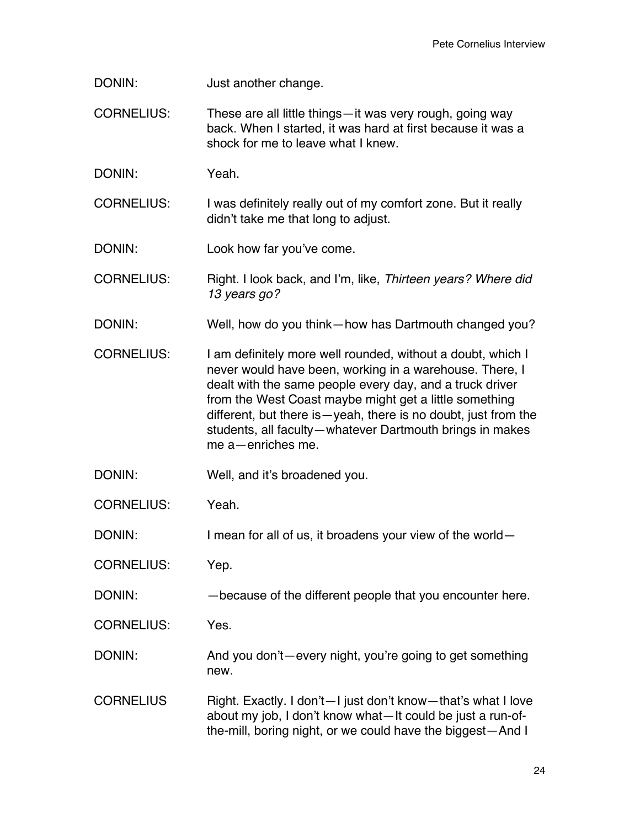DONIN: Just another change.

CORNELIUS: These are all little things—it was very rough, going way back. When I started, it was hard at first because it was a shock for me to leave what I knew.

DONIN: Yeah.

CORNELIUS: I was definitely really out of my comfort zone. But it really didn't take me that long to adjust.

DONIN: Look how far you've come.

CORNELIUS: Right. I look back, and I'm, like, *Thirteen years? Where did 13 years go?*

DONIN: Well, how do you think—how has Dartmouth changed you?

CORNELIUS: I am definitely more well rounded, without a doubt, which I never would have been, working in a warehouse. There, I dealt with the same people every day, and a truck driver from the West Coast maybe might get a little something different, but there is—yeah, there is no doubt, just from the students, all faculty—whatever Dartmouth brings in makes me a—enriches me.

DONIN: Well, and it's broadened you.

CORNELIUS: Yeah.

DONIN: I mean for all of us, it broadens your view of the world-

CORNELIUS: Yep.

DONIN: —because of the different people that you encounter here.

CORNELIUS: Yes.

DONIN: And you don't—every night, you're going to get something new.

CORNELIUS Right. Exactly. I don't-I just don't know-that's what I love about my job, I don't know what—It could be just a run-ofthe-mill, boring night, or we could have the biggest—And I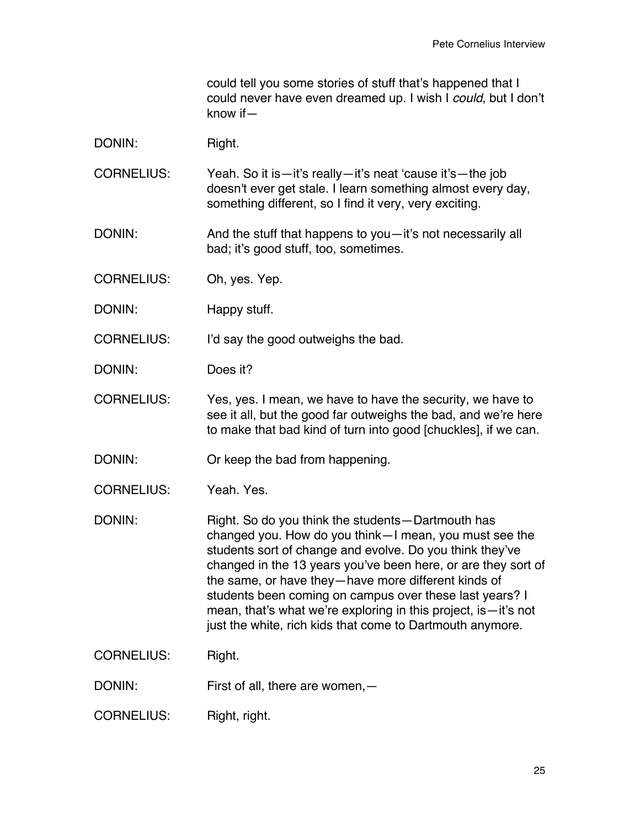could tell you some stories of stuff that's happened that I could never have even dreamed up. I wish I *could*, but I don't know if—

DONIN: Right.

CORNELIUS: Yeah. So it is—it's really—it's neat 'cause it's—the job doesn't ever get stale. I learn something almost every day, something different, so I find it very, very exciting.

DONIN: And the stuff that happens to you—it's not necessarily all bad; it's good stuff, too, sometimes.

CORNELIUS: Oh, yes. Yep.

DONIN: Happy stuff.

CORNELIUS: I'd say the good outweighs the bad.

DONIN: Does it?

CORNELIUS: Yes, yes. I mean, we have to have the security, we have to see it all, but the good far outweighs the bad, and we're here to make that bad kind of turn into good [chuckles], if we can.

DONIN: Or keep the bad from happening.

CORNELIUS: Yeah. Yes.

DONIN: Right. So do you think the students—Dartmouth has changed you. How do you think—I mean, you must see the students sort of change and evolve. Do you think they've changed in the 13 years you've been here, or are they sort of the same, or have they—have more different kinds of students been coming on campus over these last years? I mean, that's what we're exploring in this project, is—it's not just the white, rich kids that come to Dartmouth anymore.

CORNELIUS: Right.

DONIN: First of all, there are women, -

CORNELIUS: Right, right.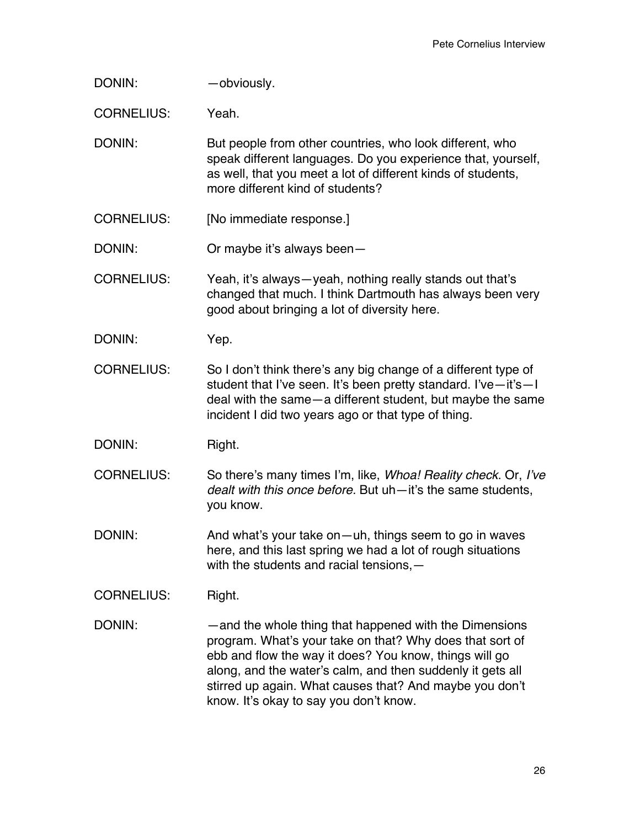| DONIN:            | -obviously.                                                                                                                                                                                                                                                                                                                                     |
|-------------------|-------------------------------------------------------------------------------------------------------------------------------------------------------------------------------------------------------------------------------------------------------------------------------------------------------------------------------------------------|
| <b>CORNELIUS:</b> | Yeah.                                                                                                                                                                                                                                                                                                                                           |
| DONIN:            | But people from other countries, who look different, who<br>speak different languages. Do you experience that, yourself,<br>as well, that you meet a lot of different kinds of students,<br>more different kind of students?                                                                                                                    |
| <b>CORNELIUS:</b> | [No immediate response.]                                                                                                                                                                                                                                                                                                                        |
| DONIN:            | Or maybe it's always been-                                                                                                                                                                                                                                                                                                                      |
| <b>CORNELIUS:</b> | Yeah, it's always—yeah, nothing really stands out that's<br>changed that much. I think Dartmouth has always been very<br>good about bringing a lot of diversity here.                                                                                                                                                                           |
| DONIN:            | Yep.                                                                                                                                                                                                                                                                                                                                            |
| <b>CORNELIUS:</b> | So I don't think there's any big change of a different type of<br>student that I've seen. It's been pretty standard. I've-it's-I<br>deal with the same – a different student, but maybe the same<br>incident I did two years ago or that type of thing.                                                                                         |
| DONIN:            | Right.                                                                                                                                                                                                                                                                                                                                          |
| <b>CORNELIUS:</b> | So there's many times I'm, like, <i>Whoa! Reality check</i> . Or, I've<br>dealt with this once before. But uh-it's the same students,<br>you know.                                                                                                                                                                                              |
| DONIN:            | And what's your take on-uh, things seem to go in waves<br>here, and this last spring we had a lot of rough situations<br>with the students and racial tensions, -                                                                                                                                                                               |
| <b>CORNELIUS:</b> | Right.                                                                                                                                                                                                                                                                                                                                          |
| DONIN:            | -and the whole thing that happened with the Dimensions<br>program. What's your take on that? Why does that sort of<br>ebb and flow the way it does? You know, things will go<br>along, and the water's calm, and then suddenly it gets all<br>stirred up again. What causes that? And maybe you don't<br>know. It's okay to say you don't know. |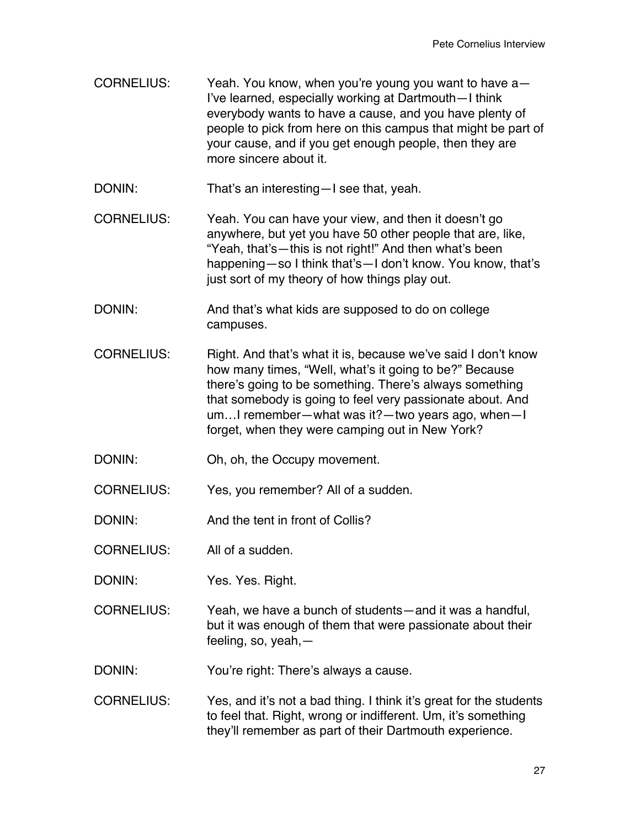CORNELIUS: Yeah. You know, when you're young you want to have a— I've learned, especially working at Dartmouth—I think everybody wants to have a cause, and you have plenty of people to pick from here on this campus that might be part of your cause, and if you get enough people, then they are more sincere about it.

DONIN: That's an interesting—I see that, yeah.

- CORNELIUS: Yeah. You can have your view, and then it doesn't go anywhere, but yet you have 50 other people that are, like, "Yeah, that's—this is not right!" And then what's been happening—so I think that's—I don't know. You know, that's just sort of my theory of how things play out.
- DONIN: And that's what kids are supposed to do on college campuses.
- CORNELIUS: Right. And that's what it is, because we've said I don't know how many times, "Well, what's it going to be?" Because there's going to be something. There's always something that somebody is going to feel very passionate about. And um…I remember—what was it?—two years ago, when—I forget, when they were camping out in New York?
- DONIN: Oh, oh, the Occupy movement.

CORNELIUS: Yes, you remember? All of a sudden.

DONIN: And the tent in front of Collis?

CORNELIUS: All of a sudden.

DONIN: Yes. Yes. Right.

CORNELIUS: Yeah, we have a bunch of students—and it was a handful, but it was enough of them that were passionate about their feeling, so, yeah,—

DONIN: You're right: There's always a cause.

CORNELIUS: Yes, and it's not a bad thing. I think it's great for the students to feel that. Right, wrong or indifferent. Um, it's something they'll remember as part of their Dartmouth experience.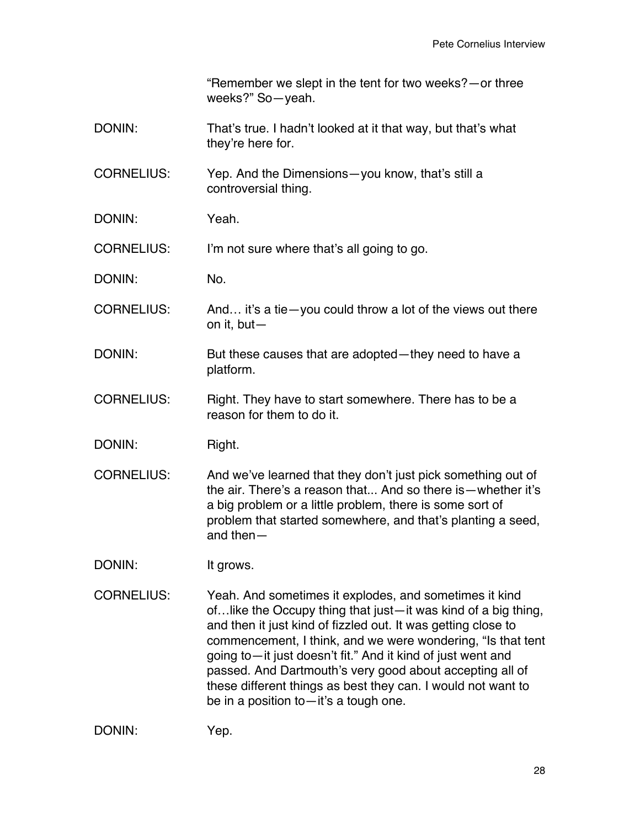"Remember we slept in the tent for two weeks?—or three weeks?" So—yeah.

DONIN: That's true. I hadn't looked at it that way, but that's what they're here for.

CORNELIUS: Yep. And the Dimensions—you know, that's still a controversial thing.

DONIN: Yeah.

CORNELIUS: I'm not sure where that's all going to go.

DONIN: No.

CORNELIUS: And… it's a tie—you could throw a lot of the views out there on it, but—

- DONIN: But these causes that are adopted—they need to have a platform.
- CORNELIUS: Right. They have to start somewhere. There has to be a reason for them to do it.
- DONIN: Right.
- CORNELIUS: And we've learned that they don't just pick something out of the air. There's a reason that... And so there is—whether it's a big problem or a little problem, there is some sort of problem that started somewhere, and that's planting a seed, and then—
- DONIN: It grows.
- CORNELIUS: Yeah. And sometimes it explodes, and sometimes it kind of…like the Occupy thing that just—it was kind of a big thing, and then it just kind of fizzled out. It was getting close to commencement, I think, and we were wondering, "Is that tent going to—it just doesn't fit." And it kind of just went and passed. And Dartmouth's very good about accepting all of these different things as best they can. I would not want to be in a position to—it's a tough one.

DONIN: Yep.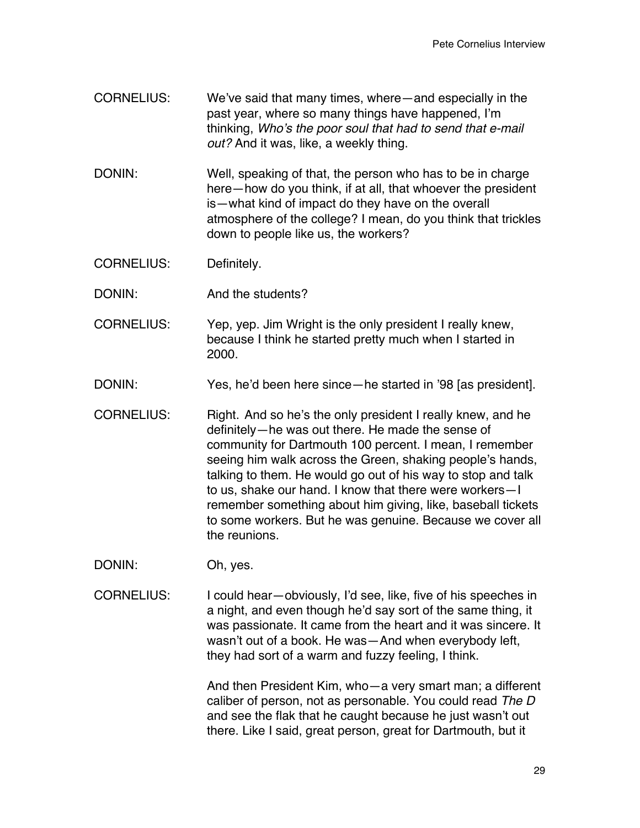- CORNELIUS: We've said that many times, where—and especially in the past year, where so many things have happened, I'm thinking, *Who's the poor soul that had to send that e-mail out?* And it was, like, a weekly thing.
- DONIN: Well, speaking of that, the person who has to be in charge here—how do you think, if at all, that whoever the president is—what kind of impact do they have on the overall atmosphere of the college? I mean, do you think that trickles down to people like us, the workers?
- CORNELIUS: Definitely.
- DONIN: And the students?
- CORNELIUS: Yep, yep. Jim Wright is the only president I really knew, because I think he started pretty much when I started in 2000.
- DONIN: Yes, he'd been here since—he started in '98 [as president].
- CORNELIUS: Right. And so he's the only president I really knew, and he definitely—he was out there. He made the sense of community for Dartmouth 100 percent. I mean, I remember seeing him walk across the Green, shaking people's hands, talking to them. He would go out of his way to stop and talk to us, shake our hand. I know that there were workers—I remember something about him giving, like, baseball tickets to some workers. But he was genuine. Because we cover all the reunions.
- DONIN: Oh, yes.
- CORNELIUS: I could hear—obviously, I'd see, like, five of his speeches in a night, and even though he'd say sort of the same thing, it was passionate. It came from the heart and it was sincere. It wasn't out of a book. He was—And when everybody left, they had sort of a warm and fuzzy feeling, I think.

And then President Kim, who—a very smart man; a different caliber of person, not as personable. You could read *The D* and see the flak that he caught because he just wasn't out there. Like I said, great person, great for Dartmouth, but it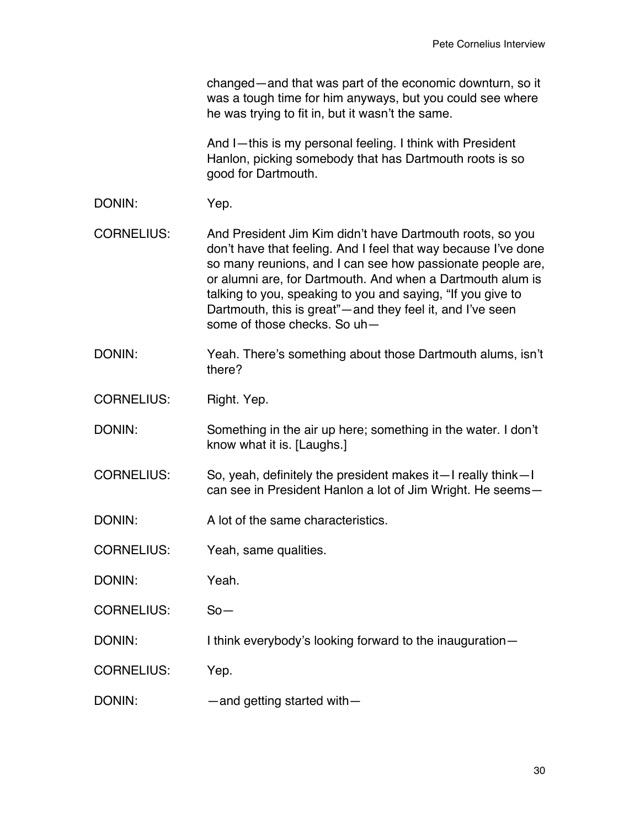changed—and that was part of the economic downturn, so it was a tough time for him anyways, but you could see where he was trying to fit in, but it wasn't the same.

And I—this is my personal feeling. I think with President Hanlon, picking somebody that has Dartmouth roots is so good for Dartmouth.

- DONIN: Yep.
- CORNELIUS: And President Jim Kim didn't have Dartmouth roots, so you don't have that feeling. And I feel that way because I've done so many reunions, and I can see how passionate people are, or alumni are, for Dartmouth. And when a Dartmouth alum is talking to you, speaking to you and saying, "If you give to Dartmouth, this is great"—and they feel it, and I've seen some of those checks. So uh—
- DONIN: Yeah. There's something about those Dartmouth alums, isn't there?
- CORNELIUS: Right. Yep.
- DONIN: Something in the air up here; something in the water. I don't know what it is. [Laughs.]
- CORNELIUS: So, yeah, definitely the president makes it—I really think—I can see in President Hanlon a lot of Jim Wright. He seems—
- DONIN: A lot of the same characteristics.
- CORNELIUS: Yeah, same qualities.
- DONIN: Yeah.
- CORNELIUS: So—
- DONIN: I think everybody's looking forward to the inauguration-
- CORNELIUS: Yep.
- DONIN: — and getting started with—